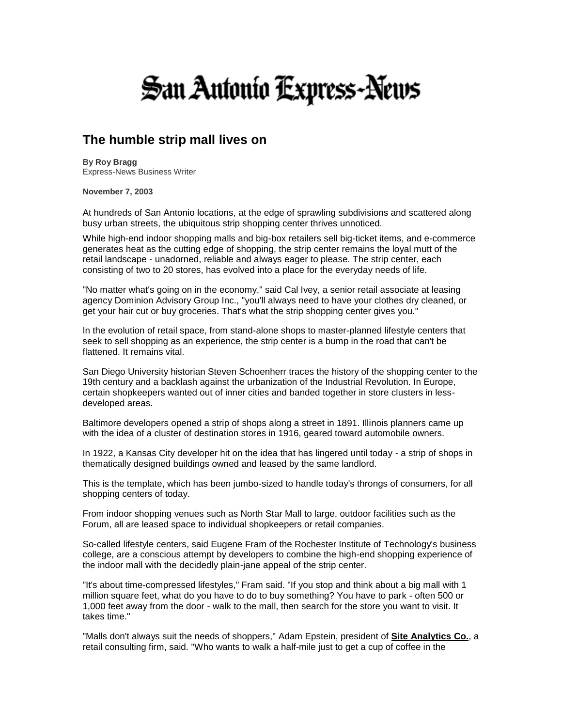## **San Antonio Express-News**

## **The humble strip mall lives on**

**By Roy Bragg**  Express-News Business Writer

**November 7, 2003**

At hundreds of San Antonio locations, at the edge of sprawling subdivisions and scattered along busy urban streets, the ubiquitous strip shopping center thrives unnoticed.

While high-end indoor shopping malls and big-box retailers sell big-ticket items, and e-commerce generates heat as the cutting edge of shopping, the strip center remains the loyal mutt of the retail landscape - unadorned, reliable and always eager to please. The strip center, each consisting of two to 20 stores, has evolved into a place for the everyday needs of life.

"No matter what's going on in the economy," said Cal Ivey, a senior retail associate at leasing agency Dominion Advisory Group Inc., "you'll always need to have your clothes dry cleaned, or get your hair cut or buy groceries. That's what the strip shopping center gives you."

In the evolution of retail space, from stand-alone shops to master-planned lifestyle centers that seek to sell shopping as an experience, the strip center is a bump in the road that can't be flattened. It remains vital.

San Diego University historian Steven Schoenherr traces the history of the shopping center to the 19th century and a backlash against the urbanization of the Industrial Revolution. In Europe, certain shopkeepers wanted out of inner cities and banded together in store clusters in lessdeveloped areas.

Baltimore developers opened a strip of shops along a street in 1891. Illinois planners came up with the idea of a cluster of destination stores in 1916, geared toward automobile owners.

In 1922, a Kansas City developer hit on the idea that has lingered until today - a strip of shops in thematically designed buildings owned and leased by the same landlord.

This is the template, which has been jumbo-sized to handle today's throngs of consumers, for all shopping centers of today.

From indoor shopping venues such as North Star Mall to large, outdoor facilities such as the Forum, all are leased space to individual shopkeepers or retail companies.

So-called lifestyle centers, said Eugene Fram of the Rochester Institute of Technology's business college, are a conscious attempt by developers to combine the high-end shopping experience of the indoor mall with the decidedly plain-jane appeal of the strip center.

"It's about time-compressed lifestyles," Fram said. "If you stop and think about a big mall with 1 million square feet, what do you have to do to buy something? You have to park - often 500 or 1,000 feet away from the door - walk to the mall, then search for the store you want to visit. It takes time."

"Malls don't always suit the needs of shoppers," Adam Epstein, president of **Site Analytics Co.**, a retail consulting firm, said. "Who wants to walk a half-mile just to get a cup of coffee in the